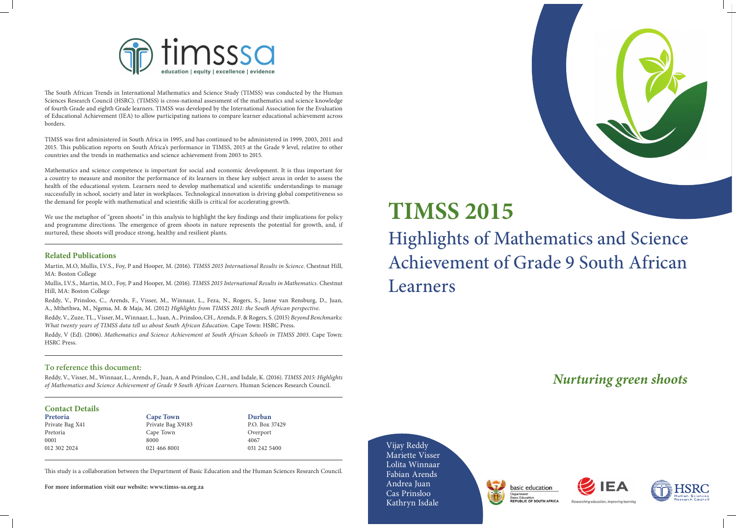

# **TIMSS 2015** Highlights of Mathematics and Science Achievement of Grade 9 South African Learners

*Nurturing green shoots*

Vijay Reddy Mariette Visser Lolita Winnaar Fabian Arends Andrea Juan Cas Prinsloo Kathryn Isdale





Researching education, improving learning

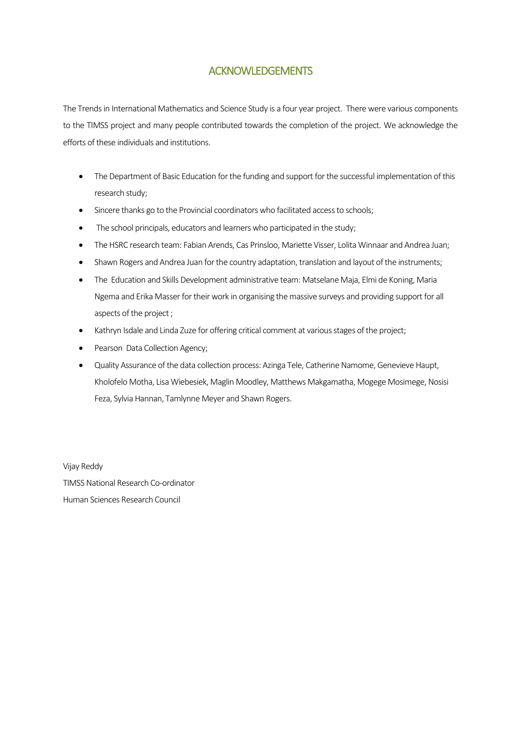# ACKNOWLEDGEMENTS

The Trends in International Mathematics and Science Study is a four year project. There were various components to the TIMSS project and many people contributed towards the completion of the project. We acknowledge the efforts of these individuals and institutions.

- The Department of Basic Education for the funding and support for the successful implementation of this research study;
- Sincere thanks go to the Provincial coordinators who facilitated access to schools;
- The school principals, educators and learners who participated in the study;
- The HSRC research team: Fabian Arends, Cas Prinsloo, Mariette Visser, Lolita Winnaar and Andrea Juan;
- Shawn Rogers and Andrea Juan for the country adaptation, translation and layout of the instruments;
- The Education and Skills Development administrative team: Matselane Maja, Elmi de Koning, Maria Ngema and Erika Masser for their work in organising the massive surveys and providing support for all aspects of the project ;
- Kathryn Isdale and Linda Zuze for offering critical comment at various stages of the project;
- Pearson Data Collection Agency;
- Quality Assurance of the data collection process: Azinga Tele, Catherine Namome, Genevieve Haupt, Kholofelo Motha, Lisa Wiebesiek, Maglin Moodley, Matthews Makgamatha, Mogege Mosimege, Nosisi Feza, Sylvia Hannan, Tamlynne Meyer and Shawn Rogers.

Vijay Reddy TIMSS National Research Co-ordinator Human Sciences Research Council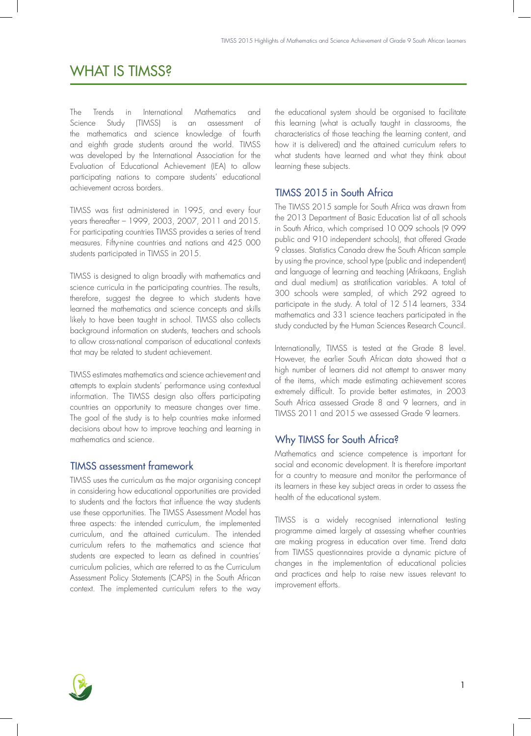# WHAT IS TIMSS?

The Trends in International Mathematics and Science Study (TIMSS) is an assessment of the mathematics and science knowledge of fourth and eighth grade students around the world. TIMSS was developed by the International Association for the Evaluation of Educational Achievement (IEA) to allow participating nations to compare students' educational achievement across borders.

TIMSS was first administered in 1995, and every four years thereafter – 1999, 2003, 2007, 2011 and 2015. For participating countries TIMSS provides a series of trend measures. Fifty-nine countries and nations and 425 000 students participated in TIMSS in 2015.

TIMSS is designed to align broadly with mathematics and science curricula in the participating countries. The results, therefore, suggest the degree to which students have learned the mathematics and science concepts and skills likely to have been taught in school. TIMSS also collects background information on students, teachers and schools to allow cross-national comparison of educational contexts that may be related to student achievement.

TIMSS estimates mathematics and science achievement and attempts to explain students' performance using contextual information. The TIMSS design also offers participating countries an opportunity to measure changes over time. The goal of the study is to help countries make informed decisions about how to improve teaching and learning in mathematics and science.

## TIMSS assessment framework

TIMSS uses the curriculum as the major organising concept in considering how educational opportunities are provided to students and the factors that influence the way students use these opportunities. The TIMSS Assessment Model has three aspects: the intended curriculum, the implemented curriculum, and the attained curriculum. The intended curriculum refers to the mathematics and science that students are expected to learn as defined in countries' curriculum policies, which are referred to as the Curriculum Assessment Policy Statements (CAPS) in the South African context. The implemented curriculum refers to the way the educational system should be organised to facilitate this learning (what is actually taught in classrooms, the characteristics of those teaching the learning content, and how it is delivered) and the attained curriculum refers to what students have learned and what they think about learning these subjects.

## TIMSS 2015 in South Africa

The TIMSS 2015 sample for South Africa was drawn from the 2013 Department of Basic Education list of all schools in South Africa, which comprised 10 009 schools (9 099 public and 910 independent schools), that offered Grade 9 classes. Statistics Canada drew the South African sample by using the province, school type (public and independent) and language of learning and teaching (Afrikaans, English and dual medium) as stratification variables. A total of 300 schools were sampled, of which 292 agreed to participate in the study. A total of 12 514 learners, 334 mathematics and 331 science teachers participated in the study conducted by the Human Sciences Research Council.

Internationally, TIMSS is tested at the Grade 8 level. However, the earlier South African data showed that a high number of learners did not attempt to answer many of the items, which made estimating achievement scores extremely difficult. To provide better estimates, in 2003 South Africa assessed Grade 8 and 9 learners, and in TIMSS 2011 and 2015 we assessed Grade 9 learners.

# Why TIMSS for South Africa?

Mathematics and science competence is important for social and economic development. It is therefore important for a country to measure and monitor the performance of its learners in these key subject areas in order to assess the health of the educational system.

TIMSS is a widely recognised international testing programme aimed largely at assessing whether countries are making progress in education over time. Trend data from TIMSS questionnaires provide a dynamic picture of changes in the implementation of educational policies and practices and help to raise new issues relevant to improvement efforts.

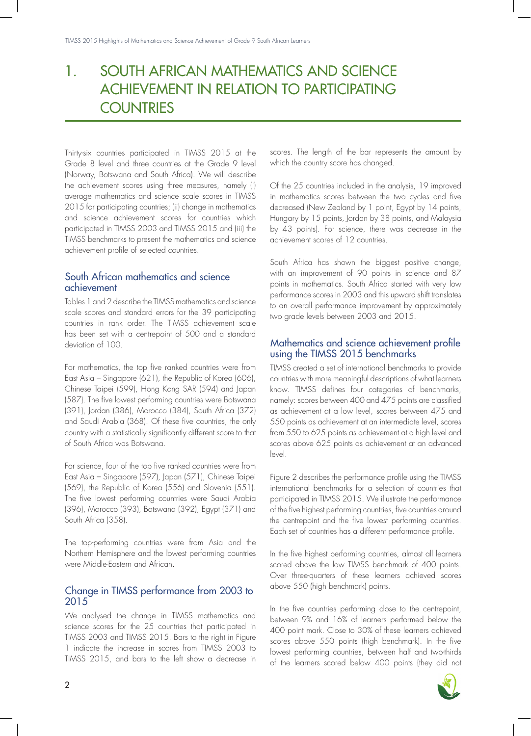# 1. SOUTH AFRICAN MATHEMATICS AND SCIENCE ACHIEVEMENT IN RELATION TO PARTICIPATING **COUNTRIES**

Thirty-six countries participated in TIMSS 2015 at the Grade 8 level and three countries at the Grade 9 level (Norway, Botswana and South Africa). We will describe the achievement scores using three measures, namely (i) average mathematics and science scale scores in TIMSS 2015 for participating countries; (ii) change in mathematics and science achievement scores for countries which participated in TIMSS 2003 and TIMSS 2015 and (iii) the TIMSS benchmarks to present the mathematics and science achievement profile of selected countries.

## South African mathematics and science achievement

Tables 1 and 2 describe the TIMSS mathematics and science scale scores and standard errors for the 39 participating countries in rank order. The TIMSS achievement scale has been set with a centrepoint of 500 and a standard deviation of 100.

For mathematics, the top five ranked countries were from East Asia – Singapore (621), the Republic of Korea (606), Chinese Taipei (599), Hong Kong SAR (594) and Japan (587). The five lowest performing countries were Botswana (391), Jordan (386), Morocco (384), South Africa (372) and Saudi Arabia (368). Of these five countries, the only country with a statistically significantly different score to that of South Africa was Botswana.

For science, four of the top five ranked countries were from East Asia – Singapore (597), Japan (571), Chinese Taipei (569), the Republic of Korea (556) and Slovenia (551). The five lowest performing countries were Saudi Arabia (396), Morocco (393), Botswana (392), Egypt (371) and South Africa (358).

The top-performing countries were from Asia and the Northern Hemisphere and the lowest performing countries were Middle-Eastern and African.

## Change in TIMSS performance from 2003 to 2015

We analysed the change in TIMSS mathematics and science scores for the 25 countries that participated in TIMSS 2003 and TIMSS 2015. Bars to the right in Figure 1 indicate the increase in scores from TIMSS 2003 to TIMSS 2015, and bars to the left show a decrease in scores. The length of the bar represents the amount by which the country score has changed.

Of the 25 countries included in the analysis, 19 improved in mathematics scores between the two cycles and five decreased (New Zealand by 1 point, Egypt by 14 points, Hungary by 15 points, Jordan by 38 points, and Malaysia by 43 points). For science, there was decrease in the achievement scores of 12 countries.

South Africa has shown the biggest positive change, with an improvement of 90 points in science and 87 points in mathematics. South Africa started with very low performance scores in 2003 and this upward shift translates to an overall performance improvement by approximately two grade levels between 2003 and 2015.

#### Mathematics and science achievement profile using the TIMSS 2015 benchmarks

TIMSS created a set of international benchmarks to provide countries with more meaningful descriptions of what learners know. TIMSS defines four categories of benchmarks, namely: scores between 400 and 475 points are classified as achievement at a low level, scores between 475 and 550 points as achievement at an intermediate level, scores from 550 to 625 points as achievement at a high level and scores above 625 points as achievement at an advanced level.

Figure 2 describes the performance profile using the TIMSS international benchmarks for a selection of countries that participated in TIMSS 2015. We illustrate the performance of the five highest performing countries, five countries around the centrepoint and the five lowest performing countries. Each set of countries has a different performance profile.

In the five highest performing countries, almost all learners scored above the low TIMSS benchmark of 400 points. Over three-quarters of these learners achieved scores above 550 (high benchmark) points.

In the five countries performing close to the centrepoint, between 9% and 16% of learners performed below the 400 point mark. Close to 30% of these learners achieved scores above 550 points (high benchmark). In the five lowest performing countries, between half and two-thirds of the learners scored below 400 points (they did not

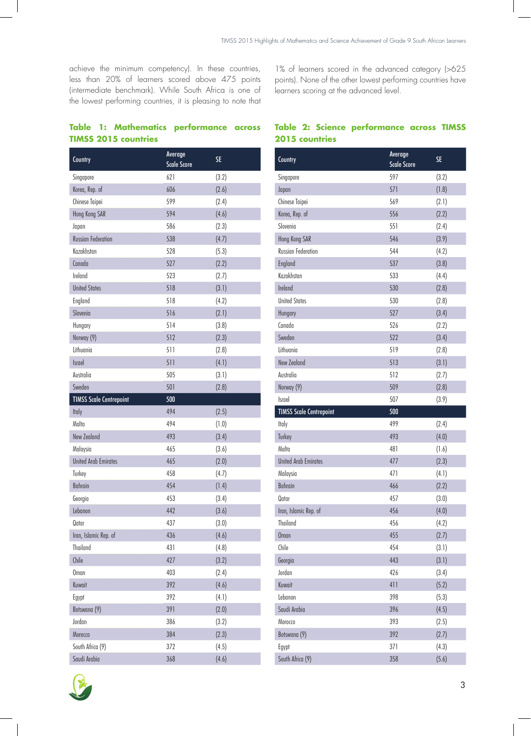achieve the minimum competency). In these countries, less than 20% of learners scored above 475 points (intermediate benchmark). While South Africa is one of the lowest performing countries, it is pleasing to note that 1% of learners scored in the advanced category (>625 points). None of the other lowest performing countries have learners scoring at the advanced level.

## **Table 1: Mathematics performance across TIMSS 2015 countries**

| Country                        | Average<br><b>Scale Score</b> | <b>SE</b> |
|--------------------------------|-------------------------------|-----------|
| Singapore                      | 621                           | (3.2)     |
| Korea, Rep. of                 | 606                           | (2.6)     |
| Chinese Taipei                 | 599                           | (2.4)     |
| Hong Kong SAR                  | 594                           | (4.6)     |
| Japan                          | 586                           | (2.3)     |
| <b>Russian Federation</b>      | 538                           | (4.7)     |
| Kazakhstan                     | 528                           | (5.3)     |
| Canada                         | 527                           | (2.2)     |
| Ireland                        | 523                           | (2.7)     |
| <b>United States</b>           | 518                           | (3.1)     |
| England                        | 518                           | (4.2)     |
| Slovenia                       | 516                           | (2.1)     |
| Hungary                        | 514                           | (3.8)     |
| Norway (9)                     | 512                           | (2.3)     |
| Lithuania                      | 511                           | (2.8)     |
| Israel                         | 511                           | (4.1)     |
| Australia                      | 505                           | (3.1)     |
| Sweden                         | 501                           | (2.8)     |
| <b>TIMSS Scale Centrepoint</b> | 500                           |           |
| Italy                          | 494                           | (2.5)     |
| Malta                          | 494                           | (1.0)     |
| New Zealand                    | 493                           | (3.4)     |
| Malaysia                       | 465                           | (3.6)     |
| <b>United Arab Emirates</b>    | 465                           | (2.0)     |
| Turkey                         | 458                           | (4.7)     |
| Bahrain                        | 454                           | (1.4)     |
| Georgia                        | 453                           | (3.4)     |
| Lebanon                        | 442                           | (3.6)     |
| Qatar                          | 437                           | (3.0)     |
| Iran, Islamic Rep. of          | 436                           | (4.6)     |
| <b>Thailand</b>                | 431                           | (4.8)     |
| Chile                          | 427                           | (3.2)     |
| <b>Oman</b>                    | 403                           | (2.4)     |
| Kuwait                         | 392                           | (4.6)     |
| Egypt                          | 392                           | (4.1)     |
| Botswana (9)                   | 391                           | (2.0)     |
| Jordan                         | 386                           | (3.2)     |
| Morocco                        | 384                           | (2.3)     |
| South Africa (9)               | 372                           | (4.5)     |
| Saudi Arabia                   | 368                           | (4.6)     |

#### **Table 2: Science performance across TIMSS 2015 countries**

| Country                        | Average<br><b>Scale Score</b> | <b>SE</b> |
|--------------------------------|-------------------------------|-----------|
| Singapore                      | 597                           | (3.2)     |
| Japan                          | 571                           | (1.8)     |
| Chinese Taipei                 | 569                           | (2.1)     |
| Korea, Rep. of                 | 556                           | (2.2)     |
| Slovenia                       | 551                           | (2.4)     |
| Hong Kong SAR                  | 546                           | (3.9)     |
| <b>Russian Federation</b>      | 544                           | (4.2)     |
| England                        | 537                           | (3.8)     |
| Kazakhstan                     | 533                           | (4.4)     |
| Ireland                        | 530                           | (2.8)     |
| <b>United States</b>           | 530                           | (2.8)     |
| Hungary                        | 527                           | (3.4)     |
| Canada                         | 526                           | (2.2)     |
| Sweden                         | 522                           | (3.4)     |
| lithuania                      | 519                           | (2.8)     |
| New Zealand                    | 513                           | (3.1)     |
| Australia                      | 512                           | (2.7)     |
| Norway (9)                     | 509                           | (2.8)     |
| <b>Israel</b>                  | 507                           | (3.9)     |
| <b>TIMSS Scale Centrepoint</b> | 500                           |           |
| Italy                          | 499                           | (2.4)     |
| Turkey                         | 493                           | (4.0)     |
| Malta                          | 481                           | (1.6)     |
| <b>United Arab Emirates</b>    | 477                           | (2.3)     |
| Malaysia                       | 471                           | (4.1)     |
| Bahrain                        | 466                           | (2.2)     |
| Qatar                          | 457                           | (3.0)     |
| Iran, Islamic Rep. of          | 456                           | (4.0)     |
| Thailand                       | 456                           | (4.2)     |
| <b>Oman</b>                    | 455                           | (2.7)     |
| Chile                          | 454                           | (3.1)     |
| Georgia                        | 443                           | (3.1)     |
| Jordan                         | 426                           | (3.4)     |
| Kuwait                         | 411                           | (5.2)     |
| Lebanon                        | 398                           | (5.3)     |
| Saudi Arabia                   | 396                           | (4.5)     |
| Morocco                        | 393                           | (2.5)     |
| Botswana (9)                   | 392                           | (2.7)     |
| Egypt                          | 371                           | (4.3)     |
| South Africa (9)               | 358                           | (5.6)     |
|                                |                               |           |

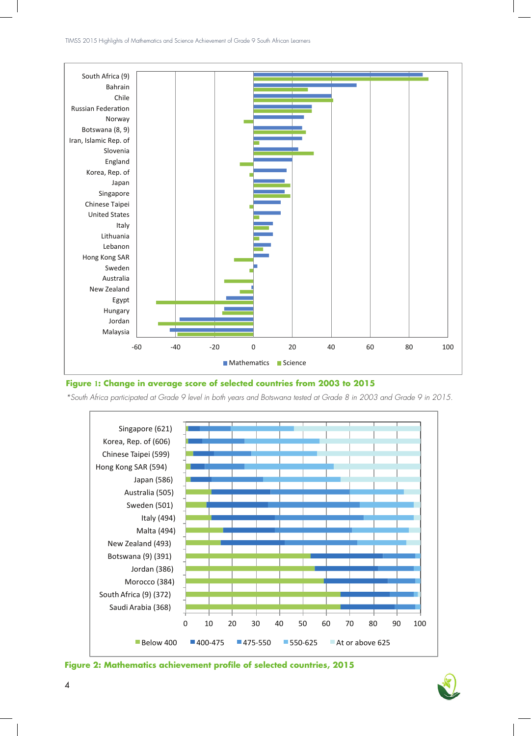

#### **Figure 1: Change in average score of selected countries from 2003 to 2015**

*\*South Africa participated at Grade 9 level in both years and Botswana tested at Grade 8 in 2003 and Grade 9 in 2015.*





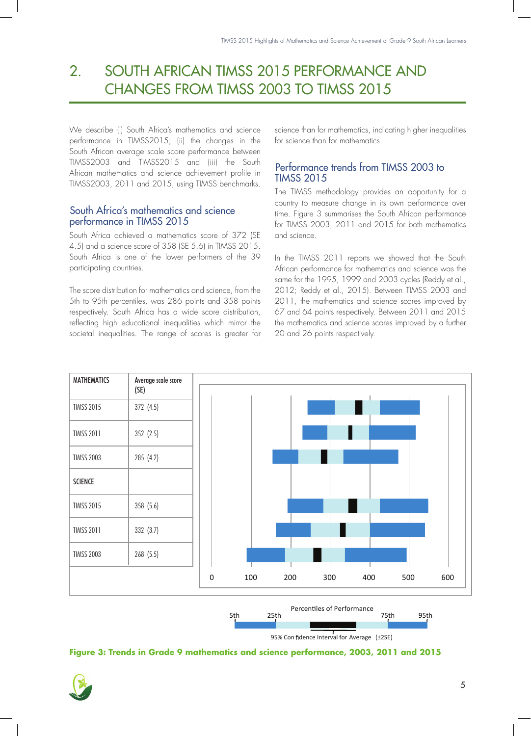# 2. SOUTH AFRICAN TIMSS 2015 PERFORMANCE AND CHANGES FROM TIMSS 2003 TO TIMSS 2015

We describe (i) South Africa's mathematics and science performance in TIMSS2015; (ii) the changes in the South African average scale score performance between TIMSS2003 and TIMSS2015 and (iii) the South African mathematics and science achievement profile in TIMSS2003, 2011 and 2015, using TIMSS benchmarks.

## South Africa's mathematics and science performance in TIMSS 2015

South Africa achieved a mathematics score of 372 (SE 4.5) and a science score of 358 (SE 5.6) in TIMSS 2015. South Africa is one of the lower performers of the 39 participating countries.

The score distribution for mathematics and science, from the 5th to 95th percentiles, was 286 points and 358 points respectively. South Africa has a wide score distribution, reflecting high educational inequalities which mirror the societal inequalities. The range of scores is greater for science than for mathematics, indicating higher inequalities for science than for mathematics.

# Performance trends from TIMSS 2003 to TIMSS 2015

The TIMSS methodology provides an opportunity for a country to measure change in its own performance over time. Figure 3 summarises the South African performance for TIMSS 2003, 2011 and 2015 for both mathematics and science.

In the TIMSS 2011 reports we showed that the South African performance for mathematics and science was the same for the 1995, 1999 and 2003 cycles (Reddy et al., 2012; Reddy et al., 2015). Between TIMSS 2003 and 2011, the mathematics and science scores improved by 67 and 64 points respectively. Between 2011 and 2015 the mathematics and science scores improved by a further 20 and 26 points respectively.



**Figure 3: Trends in Grade 9 mathematics and science performance, 2003, 2011 and 2015**

95% Con fidence Interval for Average (±2SE)

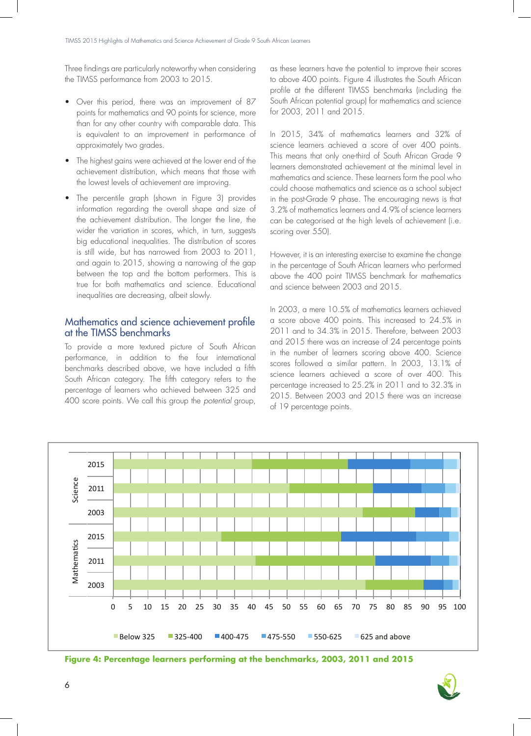Three findings are particularly noteworthy when considering the TIMSS performance from 2003 to 2015.

- Over this period, there was an improvement of 87 points for mathematics and 90 points for science, more than for any other country with comparable data. This is equivalent to an improvement in performance of approximately two grades.
- The highest gains were achieved at the lower end of the achievement distribution, which means that those with the lowest levels of achievement are improving.
- The percentile graph (shown in Figure 3) provides information regarding the overall shape and size of the achievement distribution. The longer the line, the wider the variation in scores, which, in turn, suggests big educational inequalities. The distribution of scores is still wide, but has narrowed from 2003 to 2011, and again to 2015, showing a narrowing of the gap between the top and the bottom performers. This is true for both mathematics and science. Educational inequalities are decreasing, albeit slowly.

#### Mathematics and science achievement profile at the TIMSS benchmarks

To provide a more textured picture of South African performance, in addition to the four international benchmarks described above, we have included a fifth South African category. The fifth category refers to the percentage of learners who achieved between 325 and 400 score points. We call this group the *potential* group, as these learners have the potential to improve their scores to above 400 points. Figure 4 illustrates the South African profile at the different TIMSS benchmarks (including the South African potential group) for mathematics and science for 2003, 2011 and 2015.

In 2015, 34% of mathematics learners and 32% of science learners achieved a score of over 400 points. This means that only one-third of South African Grade 9 learners demonstrated achievement at the minimal level in mathematics and science. These learners form the pool who could choose mathematics and science as a school subject in the post-Grade 9 phase. The encouraging news is that 3.2% of mathematics learners and 4.9% of science learners can be categorised at the high levels of achievement (i.e. scoring over 550).

However, it is an interesting exercise to examine the change in the percentage of South African learners who performed above the 400 point TIMSS benchmark for mathematics and science between 2003 and 2015.

In 2003, a mere 10.5% of mathematics learners achieved a score above 400 points. This increased to 24.5% in 2011 and to 34.3% in 2015. Therefore, between 2003 and 2015 there was an increase of 24 percentage points in the number of learners scoring above 400. Science scores followed a similar pattern. In 2003, 13.1% of science learners achieved a score of over 400. This percentage increased to 25.2% in 2011 and to 32.3% in 2015. Between 2003 and 2015 there was an increase of 19 percentage points.



**Figure 4: Percentage learners performing at the benchmarks, 2003, 2011 and 2015**

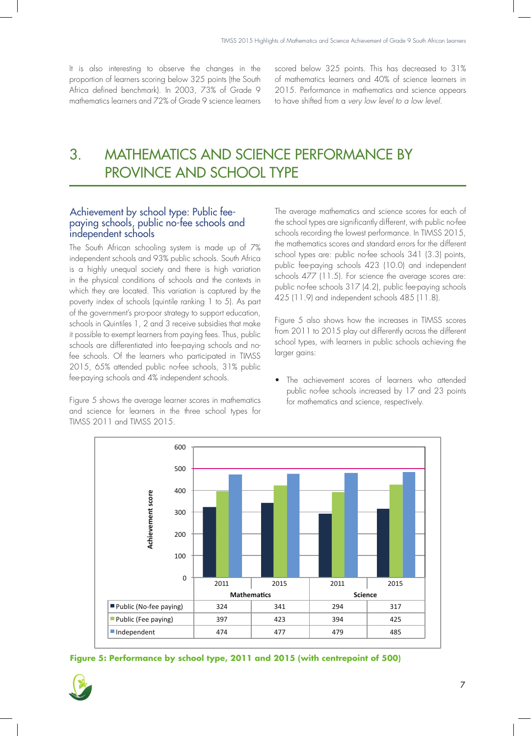It is also interesting to observe the changes in the proportion of learners scoring below 325 points (the South Africa defined benchmark). In 2003, 73% of Grade 9 mathematics learners and 72% of Grade 9 science learners scored below 325 points. This has decreased to 31% of mathematics learners and 40% of science learners in 2015. Performance in mathematics and science appears to have shifted from a *very low level to a low level*.

# 3. MATHEMATICS AND SCIENCE PERFORMANCE BY PROVINCE AND SCHOOL TYPE

#### Achievement by school type: Public feepaying schools, public no-fee schools and independent schools

The South African schooling system is made up of 7% independent schools and 93% public schools. South Africa is a highly unequal society and there is high variation in the physical conditions of schools and the contexts in which they are located. This variation is captured by the poverty index of schools (quintile ranking 1 to 5). As part of the government's pro-poor strategy to support education, schools in Quintiles 1, 2 and 3 receive subsidies that make it possible to exempt learners from paying fees. Thus, public schools are differentiated into fee-paying schools and nofee schools. Of the learners who participated in TIMSS 2015, 65% attended public no-fee schools, 31% public fee-paying schools and 4% independent schools.

Figure 5 shows the average learner scores in mathematics and science for learners in the three school types for TIMSS 2011 and TIMSS 2015.

The average mathematics and science scores for each of the school types are significantly different, with public no-fee schools recording the lowest performance. In TIMSS 2015, the mathematics scores and standard errors for the different school types are: public no-fee schools 341 (3.3) points, public fee-paying schools 423 (10.0) and independent schools 477 (11.5). For science the average scores are: public no-fee schools 317 (4.2), public fee-paying schools 425 (11.9) and independent schools 485 (11.8).

Figure 5 also shows how the increases in TIMSS scores from 2011 to 2015 play out differently across the different school types, with learners in public schools achieving the larger gains:

• The achievement scores of learners who attended public no-fee schools increased by 17 and 23 points for mathematics and science, respectively.



**Figure 5: Performance by school type, 2011 and 2015 (with centrepoint of 500)**

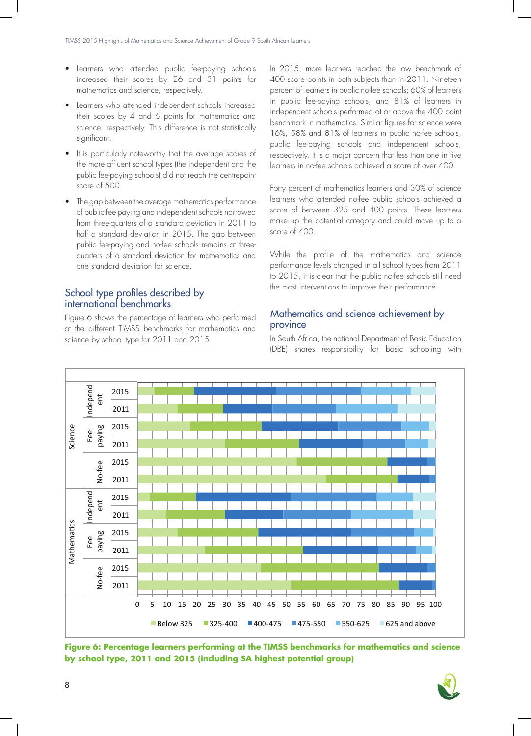- Learners who attended public fee-paying schools increased their scores by 26 and 31 points for mathematics and science, respectively.
- Learners who attended independent schools increased their scores by 4 and 6 points for mathematics and science, respectively. This difference is not statistically significant.
- It is particularly noteworthy that the average scores of the more affluent school types (the independent and the public fee-paying schools) did not reach the centrepoint score of 500.
- The gap between the average mathematics performance of public fee-paying and independent schools narrowed from three-quarters of a standard deviation in 2011 to half a standard deviation in 2015. The gap between public fee-paying and no-fee schools remains at threequarters of a standard deviation for mathematics and one standard deviation for science.

# School type profiles described by international benchmarks

Figure 6 shows the percentage of learners who performed at the different TIMSS benchmarks for mathematics and science by school type for 2011 and 2015.

In 2015, more learners reached the low benchmark of 400 score points in both subjects than in 2011. Nineteen percent of learners in public no-fee schools; 60% of learners in public fee-paying schools; and 81% of learners in independent schools performed at or above the 400 point benchmark in mathematics. Similar figures for science were 16%, 58% and 81% of learners in public no-fee schools, public fee-paying schools and independent schools, respectively. It is a major concern that less than one in five learners in no-fee schools achieved a score of over 400.

Forty percent of mathematics learners and 30% of science learners who attended no-fee public schools achieved a score of between 325 and 400 points. These learners make up the potential category and could move up to a score of 400.

While the profile of the mathematics and science performance levels changed in all school types from 2011 to 2015, it is clear that the public no-fee schools still need the most interventions to improve their performance.

## Mathematics and science achievement by province

In South Africa, the national Department of Basic Education (DBE) shares responsibility for basic schooling with



**Figure 6: Percentage learners performing at the TIMSS benchmarks for mathematics and science by school type, 2011 and 2015 (including SA highest potential group)**

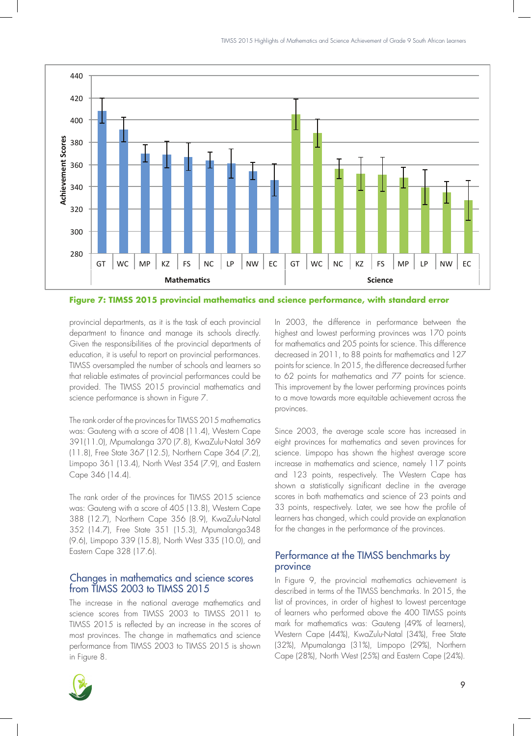

**Figure 7: TIMSS 2015 provincial mathematics and science performance, with standard error**

provincial departments, as it is the task of each provincial department to finance and manage its schools directly. Given the responsibilities of the provincial departments of education, it is useful to report on provincial performances. TIMSS oversampled the number of schools and learners so that reliable estimates of provincial performances could be provided. The TIMSS 2015 provincial mathematics and science performance is shown in Figure 7.

The rank order of the provinces for TIMSS 2015 mathematics was: Gauteng with a score of 408 (11.4), Western Cape 391(11.0), Mpumalanga 370 (7.8), KwaZulu-Natal 369 (11.8), Free State 367 (12.5), Northern Cape 364 (7.2), Limpopo 361 (13.4), North West 354 (7.9), and Eastern Cape 346 (14.4).

The rank order of the provinces for TIMSS 2015 science was: Gauteng with a score of 405 (13.8), Western Cape 388 (12.7), Northern Cape 356 (8.9), KwaZulu-Natal 352 (14.7), Free State 351 (15.3), Mpumalanga348 (9.6), Limpopo 339 (15.8), North West 335 (10.0), and Eastern Cape 328 (17.6).

#### Changes in mathematics and science scores from TIMSS 2003 to TIMSS 2015

The increase in the national average mathematics and science scores from TIMSS 2003 to TIMSS 2011 to TIMSS 2015 is reflected by an increase in the scores of most provinces. The change in mathematics and science performance from TIMSS 2003 to TIMSS 2015 is shown in Figure 8.



In 2003, the difference in performance between the highest and lowest performing provinces was 170 points for mathematics and 205 points for science. This difference decreased in 2011, to 88 points for mathematics and 127 points for science. In 2015, the difference decreased further to 62 points for mathematics and 77 points for science. This improvement by the lower performing provinces points to a move towards more equitable achievement across the provinces.

Since 2003, the average scale score has increased in eight provinces for mathematics and seven provinces for science. Limpopo has shown the highest average score increase in mathematics and science, namely 117 points and 123 points, respectively. The Western Cape has shown a statistically significant decline in the average scores in both mathematics and science of 23 points and 33 points, respectively. Later, we see how the profile of learners has changed, which could provide an explanation for the changes in the performance of the provinces.

## Performance at the TIMSS benchmarks by province

In Figure 9, the provincial mathematics achievement is described in terms of the TIMSS benchmarks. In 2015, the list of provinces, in order of highest to lowest percentage of learners who performed above the 400 TIMSS points mark for mathematics was: Gauteng (49% of learners), Western Cape (44%), KwaZulu-Natal (34%), Free State (32%), Mpumalanga (31%), Limpopo (29%), Northern Cape (28%), North West (25%) and Eastern Cape (24%).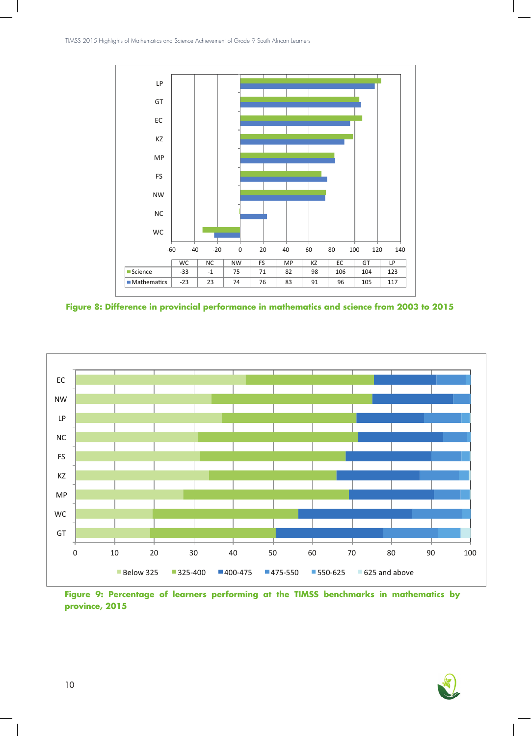

**Figure 8: Difference in provincial performance in mathematics and science from 2003 to 2015**



**Figure 9: Percentage of learners performing at the TIMSS benchmarks in mathematics by province, 2015**

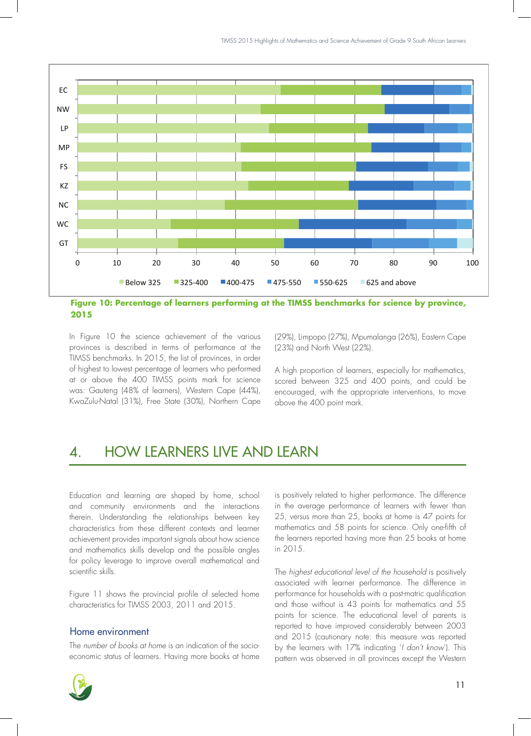

**Figure 10: Percentage of learners performing at the TIMSS benchmarks for science by province, 2015**

In Figure 10 the science achievement of the various provinces is described in terms of performance at the TIMSS benchmarks. In 2015, the list of provinces, in order of highest to lowest percentage of learners who performed at or above the 400 TIMSS points mark for science was: Gauteng (48% of learners), Western Cape (44%), KwaZulu-Natal (31%), Free State (30%), Northern Cape (29%), Limpopo (27%), Mpumalanga (26%), Eastern Cape (23%) and North West (22%).

A high proportion of learners, especially for mathematics, scored between 325 and 400 points, and could be encouraged, with the appropriate interventions, to move above the 400 point mark.

# 4. HOW LEARNERS LIVE AND LEARN

Education and learning are shaped by home, school and community environments and the interactions therein. Understanding the relationships between key characteristics from these different contexts and learner achievement provides important signals about how science and mathematics skills develop and the possible angles for policy leverage to improve overall mathematical and scientific skills.

Figure 11 shows the provincial profile of selected home characteristics for TIMSS 2003, 2011 and 2015.

#### Home environment

The *number of books at home* is an indication of the socioeconomic status of learners. Having more books at home



is positively related to higher performance. The difference in the average performance of learners with fewer than 25, versus more than 25, books at home is 47 points for mathematics and 58 points for science. Only one-fifth of the learners reported having more than 25 books at home in 2015.

The *highest educational level of the household* is positively associated with learner performance. The difference in performance for households with a post-matric qualification and those without is 43 points for mathematics and 55 points for science. The educational level of parents is reported to have improved considerably between 2003 and 2015 (cautionary note: this measure was reported by the learners with 17% indicating '*I don't know*'). This pattern was observed in all provinces except the Western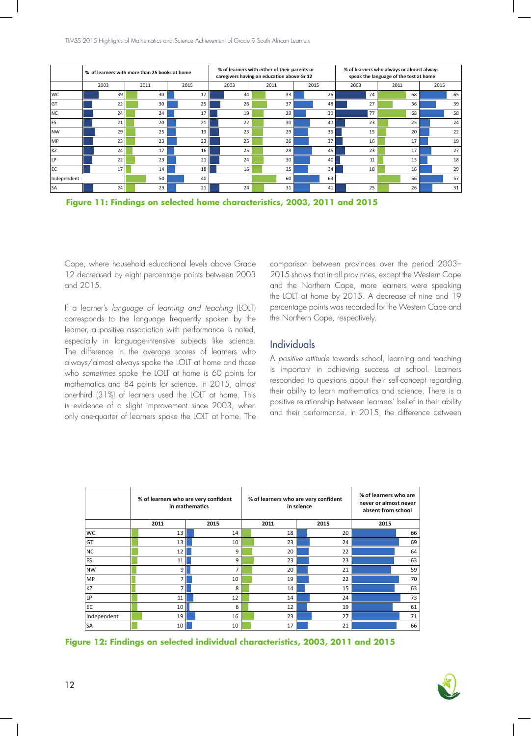|             | % of learners with more than 25 books at home |      |    |      |    |  | % of learners with either of their parents or<br>caregivers having an education above Gr 12 |  |                 |  |      |  | % of learners who always or almost always<br>speak the language of the test at home |      |    |      |    |  |
|-------------|-----------------------------------------------|------|----|------|----|--|---------------------------------------------------------------------------------------------|--|-----------------|--|------|--|-------------------------------------------------------------------------------------|------|----|------|----|--|
|             | 2003                                          | 2011 |    | 2015 |    |  | 2003                                                                                        |  | 2011            |  | 2015 |  | 2003                                                                                | 2011 |    | 2015 |    |  |
| <b>WC</b>   | 39                                            |      | 30 |      | 17 |  | 34                                                                                          |  | 33              |  | 26   |  | 74                                                                                  |      | 68 |      | 65 |  |
| lG1         | 22                                            |      | 30 |      | 25 |  | 26                                                                                          |  | 37              |  | 48   |  | 27                                                                                  |      | 36 |      | 39 |  |
| <b>NC</b>   | 24                                            |      | 24 |      | 17 |  | 19                                                                                          |  | 29              |  | 30   |  | 77                                                                                  |      | 68 |      | 58 |  |
| l FS        | 21                                            |      | 20 |      | 21 |  | 22                                                                                          |  | 30 <sup>1</sup> |  | 40   |  | 23                                                                                  |      | 25 |      | 24 |  |
| <b>NW</b>   | 29                                            |      | 25 |      | 19 |  | 23                                                                                          |  | 29              |  | 36   |  | 15                                                                                  |      | 20 |      | 22 |  |
| <b>MP</b>   | 23                                            |      | 23 |      | 23 |  | 25                                                                                          |  | 26              |  | 37   |  | 16                                                                                  |      | 17 |      | 19 |  |
| kz          | 24                                            |      | 17 |      | 16 |  | 25                                                                                          |  | 28              |  | 45   |  | 23                                                                                  |      | 17 |      | 27 |  |
| LP          | 22                                            |      | 23 |      | 21 |  | 24 <sub>1</sub>                                                                             |  | 30 <sup>1</sup> |  | 40   |  | 11                                                                                  |      | 13 |      | 18 |  |
| lec         | 17                                            |      | 14 |      | 18 |  | 16 <sup>1</sup>                                                                             |  | 25              |  | 34   |  | 18                                                                                  |      | 16 |      | 29 |  |
| Independent |                                               |      | 50 |      | 40 |  |                                                                                             |  | 60              |  | 63   |  |                                                                                     |      | 56 |      | 57 |  |
| lsa         | 24                                            |      | 23 |      | 21 |  | 24                                                                                          |  | 31              |  | 41   |  | 25                                                                                  |      | 26 |      | 31 |  |

**Figure 11: Findings on selected home characteristics, 2003, 2011 and 2015**

Cape, where household educational levels above Grade 12 decreased by eight percentage points between 2003 and 2015.

If a learner's *language of learning and teaching* (LOLT) corresponds to the language frequently spoken by the learner, a positive association with performance is noted, especially in language-intensive subjects like science. The difference in the average scores of learners who always/almost always spoke the LOLT at home and those who *sometimes* spoke the LOLT at home is 60 points for mathematics and 84 points for science. In 2015, almost one-third (31%) of learners used the LOLT at home. This is evidence of a slight improvement since 2003, when only one-quarter of learners spoke the LOLT at home. The

comparison between provinces over the period 2003– 2015 shows that in all provinces, except the Western Cape and the Northern Cape, more learners were speaking the LOLT at home by 2015. A decrease of nine and 19 percentage points was recorded for the Western Cape and the Northern Cape, respectively.

## Individuals

A *positive attitude* towards school, learning and teaching is important in achieving success at school. Learners responded to questions about their self-concept regarding their ability to learn mathematics and science. There is a positive relationship between learners' belief in their ability and their performance. In 2015, the difference between

|             |                | % of learners who are very confident<br>in mathematics | % of learners who are very confident<br>in science | % of learners who are<br>never or almost never<br>absent from school |      |    |  |
|-------------|----------------|--------------------------------------------------------|----------------------------------------------------|----------------------------------------------------------------------|------|----|--|
|             | 2011           | 2015                                                   | 2011                                               | 2015                                                                 | 2015 |    |  |
| <b>WC</b>   | 13             | 14                                                     | 18                                                 | 20                                                                   |      | 66 |  |
| GT          | 13             | 10                                                     | 23                                                 | 24                                                                   |      | 69 |  |
| NC)         | 12             | 9                                                      | 20                                                 | 22                                                                   |      | 64 |  |
| FS          | 11             | 9                                                      | 23                                                 | 23                                                                   |      | 63 |  |
| NW          | 9 <sup>1</sup> | $\overline{7}$                                         | 20                                                 | 21                                                                   |      | 59 |  |
| MP          | $\overline{ }$ | 10                                                     | 19                                                 | 22                                                                   |      | 70 |  |
| KZ          | 7              | 8                                                      | 14                                                 | 15                                                                   |      | 63 |  |
| LP          | 11             | 12                                                     | 14                                                 | 24                                                                   |      | 73 |  |
| EC          | 10             | 6                                                      | 12                                                 | 19                                                                   |      | 61 |  |
| Independent | 19             | 16                                                     | 23                                                 | 27                                                                   |      | 71 |  |
| <b>SA</b>   | 10             | 10                                                     | 17                                                 | 21                                                                   |      | 66 |  |



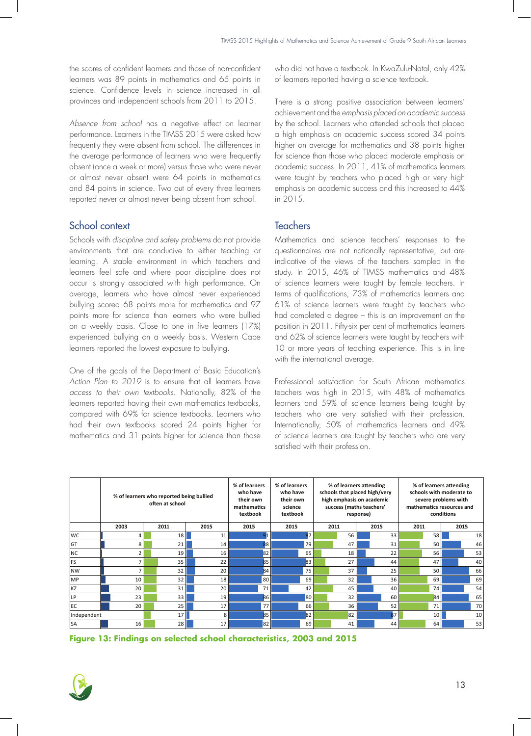the scores of confident learners and those of non-confident learners was 89 points in mathematics and 65 points in science. Confidence levels in science increased in all provinces and independent schools from 2011 to 2015.

*Absence from school* has a negative effect on learner performance. Learners in the TIMSS 2015 were asked how frequently they were absent from school. The differences in the average performance of learners who were frequently absent (once a week or more) versus those who were never or almost never absent were 64 points in mathematics and 84 points in science. Two out of every three learners reported never or almost never being absent from school.

# School context

Schools with *discipline and safety problems* do not provide environments that are conducive to either teaching or learning. A stable environment in which teachers and learners feel safe and where poor discipline does not occur is strongly associated with high performance. On average, learners who have almost never experienced bullying scored 68 points more for mathematics and 97 points more for science than learners who were bullied on a weekly basis. Close to one in five learners (17%) experienced bullying on a weekly basis. Western Cape learners reported the lowest exposure to bullying.

One of the goals of the Department of Basic Education's *Action Plan to 2019* is to ensure that all learners have *access to their own textbooks*. Nationally, 82% of the learners reported having their own mathematics textbooks, compared with 69% for science textbooks. Learners who had their own textbooks scored 24 points higher for mathematics and 31 points higher for science than those who did not have a textbook. In KwaZulu-Natal, only 42% of learners reported having a science textbook.

There is a strong positive association between learners' achievement and the *emphasis placed on academic success*  by the school. Learners who attended schools that placed a high emphasis on academic success scored 34 points higher on average for mathematics and 38 points higher for science than those who placed moderate emphasis on academic success. In 2011, 41% of mathematics learners were taught by teachers who placed high or very high emphasis on academic success and this increased to 44% in 2015.

# **Teachers**

Mathematics and science teachers' responses to the questionnaires are not nationally representative, but are indicative of the views of the teachers sampled in the study. In 2015, 46% of TIMSS mathematics and 48% of science learners were taught by female teachers. In terms of qualifications, 73% of mathematics learners and 61% of science learners were taught by teachers who had completed a degree – this is an improvement on the position in 2011. Fifty-six per cent of mathematics learners and 62% of science learners were taught by teachers with 10 or more years of teaching experience. This is in line with the international average.

Professional satisfaction for South African mathematics teachers was high in 2015, with 48% of mathematics learners and 59% of science learners being taught by teachers who are very satisfied with their profession. Internationally, 50% of mathematics learners and 49% of science learners are taught by teachers who are very satisfied with their profession.

|             | % of learners who reported being bullied<br>often at school |  |                 |  |                 | % of learners<br>who have<br>their own<br>mathematics<br>textbook | % of learners<br>who have<br>their own<br>science<br>textbook |    | % of learners attending<br>schools that placed high/very<br>high emphasis on academic<br>success (maths teachers' | response) |  | % of learners attending<br>schools with moderate to<br>severe problems with<br>mathematics resources and<br>conditions |  |                 |  |      |  |
|-------------|-------------------------------------------------------------|--|-----------------|--|-----------------|-------------------------------------------------------------------|---------------------------------------------------------------|----|-------------------------------------------------------------------------------------------------------------------|-----------|--|------------------------------------------------------------------------------------------------------------------------|--|-----------------|--|------|--|
|             | 2003                                                        |  | 2011            |  | 2015            | 2015                                                              | 2015                                                          |    |                                                                                                                   | 2011      |  | 2015                                                                                                                   |  | 2011            |  | 2015 |  |
| <b>WC</b>   | 4                                                           |  | 18 <sup>1</sup> |  | 11              |                                                                   |                                                               | :7 |                                                                                                                   | 56        |  | 33                                                                                                                     |  | 58              |  | 18   |  |
| <b>GT</b>   | 8                                                           |  | 21              |  | 14              | 88 I                                                              |                                                               | 79 |                                                                                                                   | 47        |  | 31                                                                                                                     |  | 50              |  | 46   |  |
| NC          | $\overline{2}$                                              |  | 19 <sup>1</sup> |  | 16              | 82                                                                |                                                               | 65 |                                                                                                                   | 18        |  | 22                                                                                                                     |  | 56              |  | 53   |  |
| FS          | 7                                                           |  | 35              |  | 22              | 85                                                                |                                                               | 83 |                                                                                                                   | 27        |  | 44                                                                                                                     |  | 47              |  | 40   |  |
| lnw         | $\overline{ }$                                              |  | 32              |  | 20 <sup>1</sup> | 84                                                                |                                                               | 75 |                                                                                                                   | 37        |  | 25                                                                                                                     |  | 50              |  | 66   |  |
| MP          | 10                                                          |  | 32              |  | 18              | 80                                                                |                                                               | 69 |                                                                                                                   | 32        |  | 36                                                                                                                     |  | 69              |  | 69   |  |
| KZ          | 20                                                          |  | 31              |  | 20              | 71                                                                |                                                               | 42 |                                                                                                                   | 45        |  | 40                                                                                                                     |  | 74              |  | 54   |  |
| LP          | 23                                                          |  | 33              |  | 19 <sup>1</sup> | <b>86</b>                                                         |                                                               | 80 |                                                                                                                   | 32        |  | 60                                                                                                                     |  | 84              |  | 65   |  |
| l EC        | 20                                                          |  | 25              |  | 17              | 77                                                                |                                                               | 66 |                                                                                                                   | 36        |  | 52                                                                                                                     |  | 71              |  | 70   |  |
| Independent |                                                             |  | 17 <sup>1</sup> |  | 8               | 85                                                                |                                                               | 82 |                                                                                                                   | 82        |  | 87                                                                                                                     |  | 10 <sup>1</sup> |  | 10   |  |
| <b>SA</b>   | 16                                                          |  | 28              |  | 17 <sup>1</sup> | 82                                                                |                                                               | 69 |                                                                                                                   | 41        |  | 44                                                                                                                     |  | 64              |  | 53   |  |

**Figure 13: Findings on selected school characteristics, 2003 and 2015**

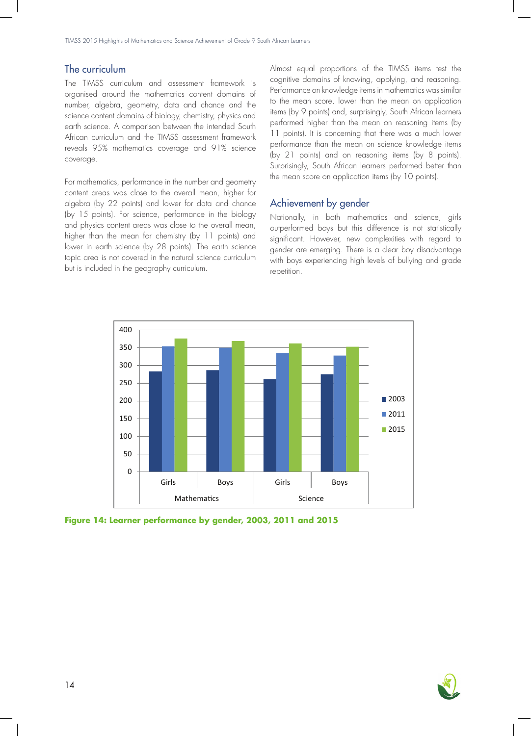## The curriculum

The TIMSS curriculum and assessment framework is organised around the mathematics content domains of number, algebra, geometry, data and chance and the science content domains of biology, chemistry, physics and earth science. A comparison between the intended South African curriculum and the TIMSS assessment framework reveals 95% mathematics coverage and 91% science coverage.

For mathematics, performance in the number and geometry content areas was close to the overall mean, higher for algebra (by 22 points) and lower for data and chance (by 15 points). For science, performance in the biology and physics content areas was close to the overall mean, higher than the mean for chemistry (by 11 points) and lower in earth science (by 28 points). The earth science topic area is not covered in the natural science curriculum but is included in the geography curriculum.

Almost equal proportions of the TIMSS items test the cognitive domains of knowing, applying, and reasoning. Performance on knowledge items in mathematics was similar to the mean score, lower than the mean on application items (by 9 points) and, surprisingly, South African learners performed higher than the mean on reasoning items (by 11 points). It is concerning that there was a much lower performance than the mean on science knowledge items (by 21 points) and on reasoning items (by 8 points). Surprisingly, South African learners performed better than the mean score on application items (by 10 points).

#### Achievement by gender

Nationally, in both mathematics and science, girls outperformed boys but this difference is not statistically significant. However, new complexities with regard to gender are emerging. There is a clear boy disadvantage with boys experiencing high levels of bullying and grade repetition.



**Figure 14: Learner performance by gender, 2003, 2011 and 2015**

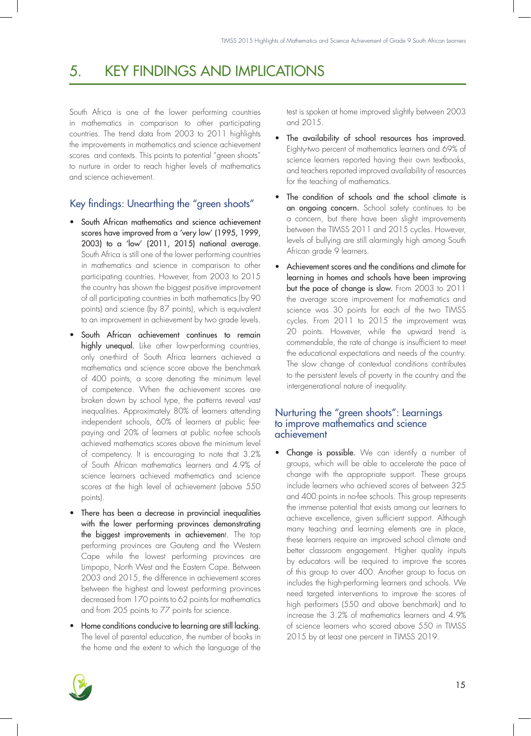# 5. KEY FINDINGS AND IMPLICATIONS

South Africa is one of the lower performing countries in mathematics in comparison to other participating countries. The trend data from 2003 to 2011 highlights the improvements in mathematics and science achievement scores and contexts. This points to potential "green shoots" to nurture in order to reach higher levels of mathematics and science achievement.

# Key findings: Unearthing the "green shoots"

- South African mathematics and science achievement scores have improved from a 'very low' (1995, 1999, 2003) to a 'low' (2011, 2015) national average. South Africa is still one of the lower performing countries in mathematics and science in comparison to other participating countries. However, from 2003 to 2015 the country has shown the biggest positive improvement of all participating countries in both mathematics (by 90 points) and science (by 87 points), which is equivalent to an improvement in achievement by two grade levels.
- South African achievement continues to remain highly unequal. Like other low-performing countries, only one-third of South Africa learners achieved a mathematics and science score above the benchmark of 400 points, a score denoting the minimum level of competence. When the achievement scores are broken down by school type, the patterns reveal vast inequalities. Approximately 80% of learners attending independent schools, 60% of learners at public feepaying and 20% of learners at public no-fee schools achieved mathematics scores above the minimum level of competency. It is encouraging to note that 3.2% of South African mathematics learners and 4.9% of science learners achieved mathematics and science scores at the high level of achievement (above 550 points).
- There has been a decrease in provincial inequalities with the lower performing provinces demonstrating the biggest improvements in achievement. The top performing provinces are Gauteng and the Western Cape while the lowest performing provinces are Limpopo, North West and the Eastern Cape. Between 2003 and 2015, the difference in achievement scores between the highest and lowest performing provinces decreased from 170 points to 62 points for mathematics and from 205 points to 77 points for science.
- Home conditions conducive to learning are still lacking. The level of parental education, the number of books in the home and the extent to which the language of the

test is spoken at home improved slightly between 2003 and 2015.

- The availability of school resources has improved. Eighty-two percent of mathematics learners and 69% of science learners reported having their own textbooks, and teachers reported improved availability of resources for the teaching of mathematics.
- The condition of schools and the school climate is an ongoing concern. School safety continues to be a concern, but there have been slight improvements between the TIMSS 2011 and 2015 cycles. However, levels of bullying are still alarmingly high among South African grade 9 learners.
- Achievement scores and the conditions and climate for learning in homes and schools have been improving but the pace of change is slow. From 2003 to 2011 the average score improvement for mathematics and science was 30 points for each of the two TIMSS cycles. From 2011 to 2015 the improvement was 20 points. However, while the upward trend is commendable, the rate of change is insufficient to meet the educational expectations and needs of the country. The slow change of contextual conditions contributes to the persistent levels of poverty in the country and the intergenerational nature of inequality.

## Nurturing the "green shoots": Learnings to improve mathematics and science achievement

Change is possible. We can identify a number of groups, which will be able to accelerate the pace of change with the appropriate support. These groups include learners who achieved scores of between 325 and 400 points in no-fee schools. This group represents the immense potential that exists among our learners to achieve excellence, given sufficient support. Although many teaching and learning elements are in place, these learners require an improved school climate and better classroom engagement. Higher quality inputs by educators will be required to improve the scores of this group to over 400. Another group to focus on includes the high-performing learners and schools. We need targeted interventions to improve the scores of high performers (550 and above benchmark) and to increase the 3.2% of mathematics learners and 4.9% of science learners who scored above 550 in TIMSS 2015 by at least one percent in TIMSS 2019.

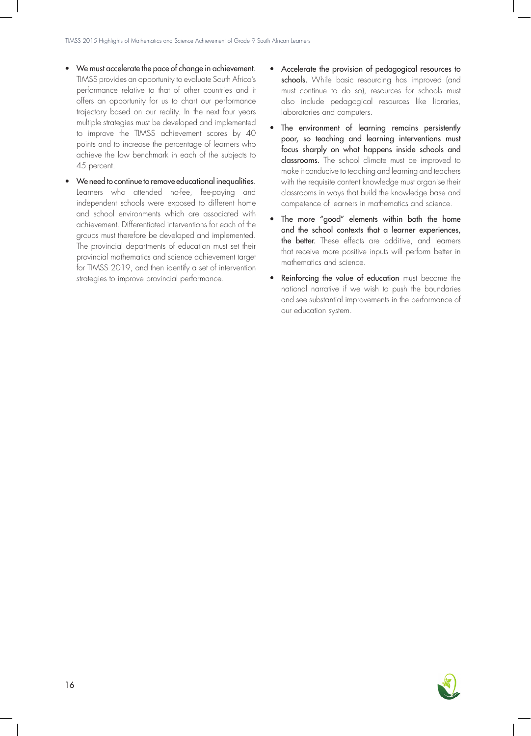- We must accelerate the pace of change in achievement. TIMSS provides an opportunity to evaluate South Africa's performance relative to that of other countries and it offers an opportunity for us to chart our performance trajectory based on our reality. In the next four years multiple strategies must be developed and implemented to improve the TIMSS achievement scores by 40 points and to increase the percentage of learners who achieve the low benchmark in each of the subjects to 45 percent.
- We need to continue to remove educational inequalities. Learners who attended no-fee, fee-paying and independent schools were exposed to different home and school environments which are associated with achievement. Differentiated interventions for each of the groups must therefore be developed and implemented. The provincial departments of education must set their provincial mathematics and science achievement target for TIMSS 2019, and then identify a set of intervention strategies to improve provincial performance.
- Accelerate the provision of pedagogical resources to schools. While basic resourcing has improved (and must continue to do so), resources for schools must also include pedagogical resources like libraries, laboratories and computers.
- The environment of learning remains persistently poor, so teaching and learning interventions must focus sharply on what happens inside schools and classrooms. The school climate must be improved to make it conducive to teaching and learning and teachers with the requisite content knowledge must organise their classrooms in ways that build the knowledge base and competence of learners in mathematics and science.
- The more "good" elements within both the home and the school contexts that a learner experiences, the better. These effects are additive, and learners that receive more positive inputs will perform better in mathematics and science.
- Reinforcing the value of education must become the national narrative if we wish to push the boundaries and see substantial improvements in the performance of our education system.